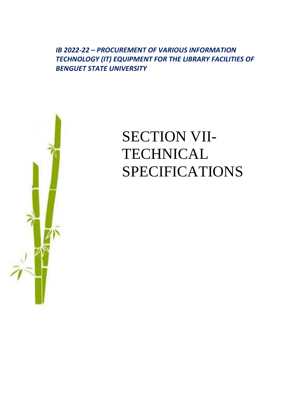*IB 2022-22 – PROCUREMENT OF VARIOUS INFORMATION TECHNOLOGY (IT) EQUIPMENT FOR THE LIBRARY FACILITIES OF BENGUET STATE UNIVERSITY*



## SECTION VII-**TECHNICAL** SPECIFICATIONS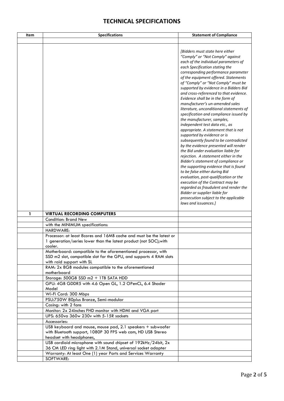## **TECHNICAL SPECIFICATIONS**

| Item | <b>Specifications</b>                                                                                                                                            | <b>Statement of Compliance</b>                                                                                                                                                                                                                                                                                                                                                                                                                                                                                                                                                                                                                                                                                                                                                                                                                                                                                                                                                                                                                                                                                                                                       |
|------|------------------------------------------------------------------------------------------------------------------------------------------------------------------|----------------------------------------------------------------------------------------------------------------------------------------------------------------------------------------------------------------------------------------------------------------------------------------------------------------------------------------------------------------------------------------------------------------------------------------------------------------------------------------------------------------------------------------------------------------------------------------------------------------------------------------------------------------------------------------------------------------------------------------------------------------------------------------------------------------------------------------------------------------------------------------------------------------------------------------------------------------------------------------------------------------------------------------------------------------------------------------------------------------------------------------------------------------------|
|      |                                                                                                                                                                  | [Bidders must state here either<br>"Comply" or "Not Comply" against<br>each of the individual parameters of<br>each Specification stating the<br>corresponding performance parameter<br>of the equipment offered. Statements<br>of "Comply" or "Not Comply" must be<br>supported by evidence in a Bidders Bid<br>and cross-referenced to that evidence.<br>Evidence shall be in the form of<br>manufacturer's un-amended sales<br>literature, unconditional statements of<br>specification and compliance issued by<br>the manufacturer, samples,<br>independent test data etc., as<br>appropriate. A statement that is not<br>supported by evidence or is<br>subsequently found to be contradicted<br>by the evidence presented will render<br>the Bid under evaluation liable for<br>rejection. A statement either in the<br>Bidder's statement of compliance or<br>the supporting evidence that is found<br>to be false either during Bid<br>evaluation, post-qualification or the<br>execution of the Contract may be<br>regarded as fraudulent and render the<br>Bidder or supplier liable for<br>prosecution subject to the applicable<br>laws and issuances.] |
| 1    | <b>VIRTUAL RECORDING COMPUTERS</b>                                                                                                                               |                                                                                                                                                                                                                                                                                                                                                                                                                                                                                                                                                                                                                                                                                                                                                                                                                                                                                                                                                                                                                                                                                                                                                                      |
|      | <b>Condition: Brand New</b>                                                                                                                                      |                                                                                                                                                                                                                                                                                                                                                                                                                                                                                                                                                                                                                                                                                                                                                                                                                                                                                                                                                                                                                                                                                                                                                                      |
|      | with the MINIMUM specifications:                                                                                                                                 |                                                                                                                                                                                                                                                                                                                                                                                                                                                                                                                                                                                                                                                                                                                                                                                                                                                                                                                                                                                                                                                                                                                                                                      |
|      | HARDWARE:                                                                                                                                                        |                                                                                                                                                                                                                                                                                                                                                                                                                                                                                                                                                                                                                                                                                                                                                                                                                                                                                                                                                                                                                                                                                                                                                                      |
|      | Processor: at least 8cores and 16MB cache and must be the latest or<br>1 generation/series lower than the latest product (not SOC); with<br>cooler.              |                                                                                                                                                                                                                                                                                                                                                                                                                                                                                                                                                                                                                                                                                                                                                                                                                                                                                                                                                                                                                                                                                                                                                                      |
|      | Motherboard: compatible to the aforementioned processor, with<br>SSD m2 slot, compatible slot for the GPU, and supports 4 RAM slots<br>with raid support with SL |                                                                                                                                                                                                                                                                                                                                                                                                                                                                                                                                                                                                                                                                                                                                                                                                                                                                                                                                                                                                                                                                                                                                                                      |
|      | RAM: 2x 8GB modules compatible to the aforementioned<br>motherboard                                                                                              |                                                                                                                                                                                                                                                                                                                                                                                                                                                                                                                                                                                                                                                                                                                                                                                                                                                                                                                                                                                                                                                                                                                                                                      |
|      | Storage: 500GB SSD m2 + 1TB SATA HDD                                                                                                                             |                                                                                                                                                                                                                                                                                                                                                                                                                                                                                                                                                                                                                                                                                                                                                                                                                                                                                                                                                                                                                                                                                                                                                                      |
|      | GPU: 4GB GDDR5 with 4.6 Open GL, 1.2 OPenCL, 6.4 Shader<br>Model                                                                                                 |                                                                                                                                                                                                                                                                                                                                                                                                                                                                                                                                                                                                                                                                                                                                                                                                                                                                                                                                                                                                                                                                                                                                                                      |
|      | Wi-Fi Card: 300 Mbps                                                                                                                                             |                                                                                                                                                                                                                                                                                                                                                                                                                                                                                                                                                                                                                                                                                                                                                                                                                                                                                                                                                                                                                                                                                                                                                                      |
|      | PSU:750W 80plus Bronze, Semi-modular<br>Casing: with 2 fans                                                                                                      |                                                                                                                                                                                                                                                                                                                                                                                                                                                                                                                                                                                                                                                                                                                                                                                                                                                                                                                                                                                                                                                                                                                                                                      |
|      | Monitor: 2x 24inches FHD monitor with HDMI and VGA port                                                                                                          |                                                                                                                                                                                                                                                                                                                                                                                                                                                                                                                                                                                                                                                                                                                                                                                                                                                                                                                                                                                                                                                                                                                                                                      |
|      | UPS: 650va 360w 230v with 5-15R sockets                                                                                                                          |                                                                                                                                                                                                                                                                                                                                                                                                                                                                                                                                                                                                                                                                                                                                                                                                                                                                                                                                                                                                                                                                                                                                                                      |
|      | Accessories:                                                                                                                                                     |                                                                                                                                                                                                                                                                                                                                                                                                                                                                                                                                                                                                                                                                                                                                                                                                                                                                                                                                                                                                                                                                                                                                                                      |
|      | USB keyboard and mouse, mouse pad, 2.1 speakers + subwoofer<br>with Bluetooth support, 1080P 30 FPS web cam, HD USB Stereo<br>headset with headphones,           |                                                                                                                                                                                                                                                                                                                                                                                                                                                                                                                                                                                                                                                                                                                                                                                                                                                                                                                                                                                                                                                                                                                                                                      |
|      | USB cardioid microphone with sound chipset of 192kHz/24bit, 2x<br>36 CM LED ring light with 2.1M Stand, universal socket adapter                                 |                                                                                                                                                                                                                                                                                                                                                                                                                                                                                                                                                                                                                                                                                                                                                                                                                                                                                                                                                                                                                                                                                                                                                                      |
|      | Warranty: At least One (1) year Parts and Services Warranty                                                                                                      |                                                                                                                                                                                                                                                                                                                                                                                                                                                                                                                                                                                                                                                                                                                                                                                                                                                                                                                                                                                                                                                                                                                                                                      |
|      | SOFTWARE:                                                                                                                                                        |                                                                                                                                                                                                                                                                                                                                                                                                                                                                                                                                                                                                                                                                                                                                                                                                                                                                                                                                                                                                                                                                                                                                                                      |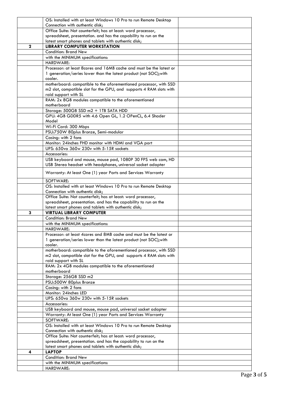|             | OS: Installed with at least Windows 10 Pro to run Remote Desktop                                                                         |  |
|-------------|------------------------------------------------------------------------------------------------------------------------------------------|--|
|             | Connection with authentic disk;                                                                                                          |  |
|             | Office Suite: Not counterfeit; has at least: word processor,                                                                             |  |
|             | spreadsheet, presentation. and has the capability to run on the                                                                          |  |
|             | latest smart phones and tablets with authentic disk;                                                                                     |  |
| $\mathbf 2$ | <b>LIBRARY COMPUTER WORKSTATION</b>                                                                                                      |  |
|             | <b>Condition: Brand New</b>                                                                                                              |  |
|             | with the MINIMUM specifications:                                                                                                         |  |
|             | HARDWARE:                                                                                                                                |  |
|             | Processor: at least 8cores and 16MB cache and must be the latest or                                                                      |  |
|             | 1 generation/series lower than the latest product (not SOC); with                                                                        |  |
|             | cooler.                                                                                                                                  |  |
|             | motherboard: compatible to the aforementioned processor, with SSD<br>m2 slot, compatible slot for the GPU, and supports 4 RAM slots with |  |
|             | raid support with SL                                                                                                                     |  |
|             | RAM: 2x 8GB modules compatible to the aforementioned                                                                                     |  |
|             | motherboard                                                                                                                              |  |
|             | Storage: 500GB SSD m2 + 1TB SATA HDD                                                                                                     |  |
|             | GPU: 4GB GDDR5 with 4.6 Open GL, 1.2 OPenCL, 6.4 Shader                                                                                  |  |
|             | Model                                                                                                                                    |  |
|             | Wi-Fi Card: 300 Mbps                                                                                                                     |  |
|             | PSU:750W 80plus Bronze, Semi-modular                                                                                                     |  |
|             | Casing: with 2 fans                                                                                                                      |  |
|             | Monitor: 24inches FHD monitor with HDMI and VGA port                                                                                     |  |
|             | UPS: 650va 360w 230v with 5-15R sockets                                                                                                  |  |
|             | Accessories:                                                                                                                             |  |
|             | USB keyboard and mouse, mouse pad, 1080P 30 FPS web cam, HD                                                                              |  |
|             | USB Stereo headset with headphones, universal socket adapter                                                                             |  |
|             |                                                                                                                                          |  |
|             | Warranty: At least One (1) year Parts and Services Warranty                                                                              |  |
|             | SOFTWARE:                                                                                                                                |  |
|             | OS: Installed with at least Windows 10 Pro to run Remote Desktop                                                                         |  |
|             | Connection with authentic disk;                                                                                                          |  |
|             | Office Suite: Not counterfeit; has at least: word processor,                                                                             |  |
|             |                                                                                                                                          |  |
|             | spreadsheet, presentation. and has the capability to run on the                                                                          |  |
|             | latest smart phones and tablets with authentic disk;                                                                                     |  |
| 3           | <b>VIRTUAL LIBRARY COMPUTER</b>                                                                                                          |  |
|             | Condition: Brand New                                                                                                                     |  |
|             | with the MINIMUM specifications:                                                                                                         |  |
|             | HARDWARE:                                                                                                                                |  |
|             | Processor: at least 4cores and 8MB cache and must be the latest or                                                                       |  |
|             | 1 generation/series lower than the latest product (not SOC); with                                                                        |  |
|             | cooler.                                                                                                                                  |  |
|             | motherboard: compatible to the aforementioned processor, with SSD                                                                        |  |
|             | m2 slot, compatible slot for the GPU, and supports 4 RAM slots with                                                                      |  |
|             | raid support with SL<br>RAM: 2x 4GB modules compatible to the aforementioned                                                             |  |
|             | motherboard                                                                                                                              |  |
|             | Storage: 256GB SSD m2                                                                                                                    |  |
|             | PSU:500W 80plus Bronze                                                                                                                   |  |
|             | Casing: with 2 fans                                                                                                                      |  |
|             | Monitor: 24inches LED                                                                                                                    |  |
|             | UPS: 650va 360w 230v with 5-15R sockets                                                                                                  |  |
|             | Accessories:                                                                                                                             |  |
|             | USB keyboard and mouse, mouse pad, universal socket adapter                                                                              |  |
|             | Warranty: At least One (1) year Parts and Services Warranty                                                                              |  |
|             | SOFTWARE:                                                                                                                                |  |
|             | OS: Installed with at least Windows 10 Pro to run Remote Desktop                                                                         |  |
|             | Connection with authentic disk;                                                                                                          |  |
|             | Office Suite: Not counterfeit; has at least: word processor,                                                                             |  |
|             | spreadsheet, presentation. and has the capability to run on the                                                                          |  |
|             | latest smart phones and tablets with authentic disk;                                                                                     |  |
| 4           | <b>LAPTOP</b>                                                                                                                            |  |
|             | Condition: Brand New                                                                                                                     |  |
|             | with the MINIMUM specifications:<br>HARDWARE:                                                                                            |  |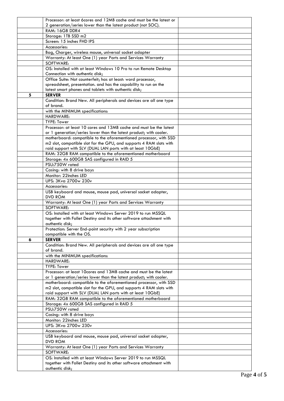|   | Processor: at least 6cores and 12MB cache and must be the latest or                                                                      |  |
|---|------------------------------------------------------------------------------------------------------------------------------------------|--|
|   | 2 generation/series lower than the latest product (not SOC).                                                                             |  |
|   | RAM: 16GB DDR4                                                                                                                           |  |
|   | Storage: 1TB SSD m2<br>Screen: 15 inches FHD IPS                                                                                         |  |
|   | Accessories:                                                                                                                             |  |
|   | Bag, Charger, wireless mouse, universal socket adapter                                                                                   |  |
|   | Warranty: At least One (1) year Parts and Services Warranty                                                                              |  |
|   | SOFTWARE:                                                                                                                                |  |
|   | OS: Installed with at least Windows 10 Pro to run Remote Desktop                                                                         |  |
|   | Connection with authentic disk;                                                                                                          |  |
|   | Office Suite: Not counterfeit; has at least: word processor,<br>spreadsheet, presentation. and has the capability to run on the          |  |
|   | latest smart phones and tablets with authentic disk;                                                                                     |  |
| 5 | <b>SERVER</b>                                                                                                                            |  |
|   | Condition: Brand New. All peripherals and devices are all one type                                                                       |  |
|   | of brand.                                                                                                                                |  |
|   | with the MINIMUM specifications:                                                                                                         |  |
|   | HARDWARE:                                                                                                                                |  |
|   | TYPE: Tower<br>Processor: at least 10 cores and 13MB cache and must be the latest                                                        |  |
|   | or 1 generation/series lower than the latest product; with cooler.                                                                       |  |
|   | motherboard: compatible to the aforementioned processor, with SSD                                                                        |  |
|   | m2 slot, compatible slot for the GPU, and supports 4 RAM slots with                                                                      |  |
|   | raid support with SLV (DUAL LAN ports with at least 10GbE)                                                                               |  |
|   | RAM: 32GB RAM compatible to the aforementioned motherboard                                                                               |  |
|   | Storage: 4x 600GB SAS configured in RAID 5                                                                                               |  |
|   | PSU:750W rated<br>Casing: with 8 drive bays                                                                                              |  |
|   | Monitor: 22inches LED                                                                                                                    |  |
|   | UPS: 3Kva 2700w 230v                                                                                                                     |  |
|   | Accessories:                                                                                                                             |  |
|   | USB keyboard and mouse, mouse pad, universal socket adapter,                                                                             |  |
|   | DVD ROM                                                                                                                                  |  |
|   | Warranty: At least One (1) year Parts and Services Warranty                                                                              |  |
|   | SOFTWARE:<br>OS: Installed with at least Windows Server 2019 to run MSSQL                                                                |  |
|   | together with Follet Destiny and its other software attachment with                                                                      |  |
|   | authentic disk;                                                                                                                          |  |
|   | Protection: Server End-point security with 2 year subscription                                                                           |  |
|   | compatible with the OS.                                                                                                                  |  |
| 6 | <b>SERVER</b>                                                                                                                            |  |
|   | Condition: Brand New. All peripherals and devices are all one type<br>of brand.                                                          |  |
|   | with the MINIMUM specifications:                                                                                                         |  |
|   | HARDWARE:                                                                                                                                |  |
|   | <b>TYPE: Tower</b>                                                                                                                       |  |
|   | Processor: at least 10cores and 13MB cache and must be the latest                                                                        |  |
|   | or 1 generation/series lower than the latest product; with cooler.                                                                       |  |
|   | motherboard: compatible to the aforementioned processor, with SSD<br>m2 slot, compatible slot for the GPU, and supports 4 RAM slots with |  |
|   | raid support with SLV (DUAL LAN ports with at least 10GbE)                                                                               |  |
|   | RAM: 32GB RAM compatible to the aforementioned motherboard                                                                               |  |
|   | Storage: 4x 600GB SAS configured in RAID 5                                                                                               |  |
|   | PSU:750W rated                                                                                                                           |  |
|   | Casing: with 8 drive bays                                                                                                                |  |
|   | Monitor: 22inches LED                                                                                                                    |  |
|   | UPS: 3Kva 2700w 230v<br>Accessories:                                                                                                     |  |
|   | USB keyboard and mouse, mouse pad, universal socket adapter,                                                                             |  |
|   | <b>DVD ROM</b>                                                                                                                           |  |
|   | Warranty: At least One (1) year Parts and Services Warranty<br>SOFTWARE:                                                                 |  |
|   | OS: Installed with at least Windows Server 2019 to run MSSQL                                                                             |  |
|   | together with Follet Destiny and its other software attachment with                                                                      |  |
|   | authentic disk;                                                                                                                          |  |